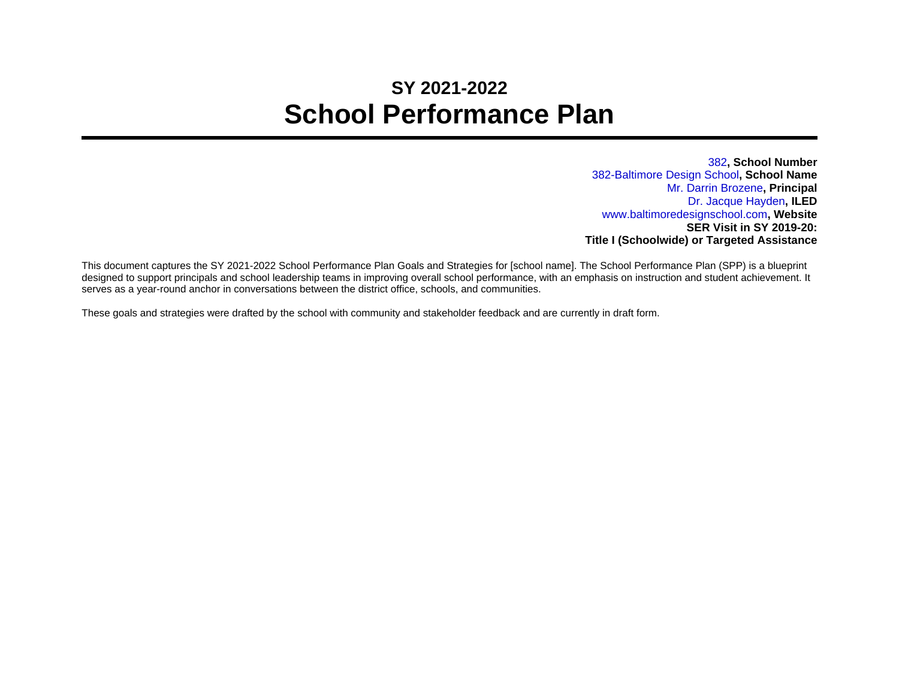# **SY 2021-2022 School Performance Plan**

382**, School Number** 382-Baltimore Design School**, School Name** Mr. Darrin Brozene**, Principal** Dr. Jacque Hayden**, ILED** www.baltimoredesignschool.com**, Website SER Visit in SY 2019-20: Title I (Schoolwide) or Targeted Assistance**

This document captures the SY 2021-2022 School Performance Plan Goals and Strategies for [school name]. The School Performance Plan (SPP) is a blueprint designed to support principals and school leadership teams in improving overall school performance, with an emphasis on instruction and student achievement. It serves as a year-round anchor in conversations between the district office, schools, and communities.

These goals and strategies were drafted by the school with community and stakeholder feedback and are currently in draft form.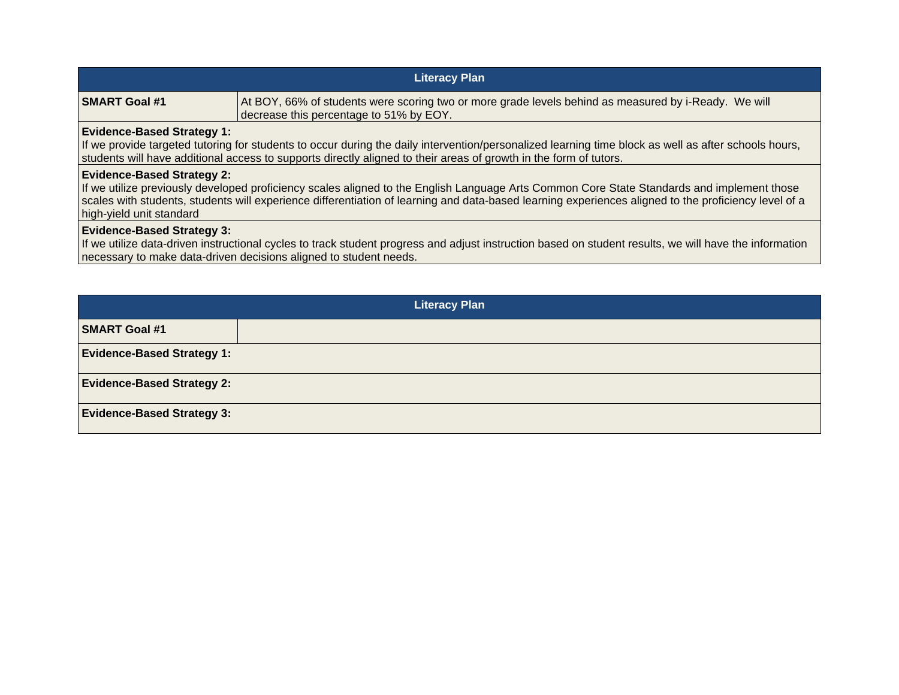| <b>Literacy Plan</b> |                                                                                                                                                 |
|----------------------|-------------------------------------------------------------------------------------------------------------------------------------------------|
| <b>SMART Goal #1</b> | At BOY, 66% of students were scoring two or more grade levels behind as measured by i-Ready. We will<br>decrease this percentage to 51% by EOY. |

### **Evidence-Based Strategy 1:**

If we provide targeted tutoring for students to occur during the daily intervention/personalized learning time block as well as after schools hours, students will have additional access to supports directly aligned to their areas of growth in the form of tutors.

### **Evidence-Based Strategy 2:**

If we utilize previously developed proficiency scales aligned to the English Language Arts Common Core State Standards and implement those scales with students, students will experience differentiation of learning and data-based learning experiences aligned to the proficiency level of a high-yield unit standard

### **Evidence-Based Strategy 3:**

If we utilize data-driven instructional cycles to track student progress and adjust instruction based on student results, we will have the information necessary to make data-driven decisions aligned to student needs.

|                                   | <b>Literacy Plan</b> |
|-----------------------------------|----------------------|
| <b>SMART Goal #1</b>              |                      |
| <b>Evidence-Based Strategy 1:</b> |                      |
| <b>Evidence-Based Strategy 2:</b> |                      |
| <b>Evidence-Based Strategy 3:</b> |                      |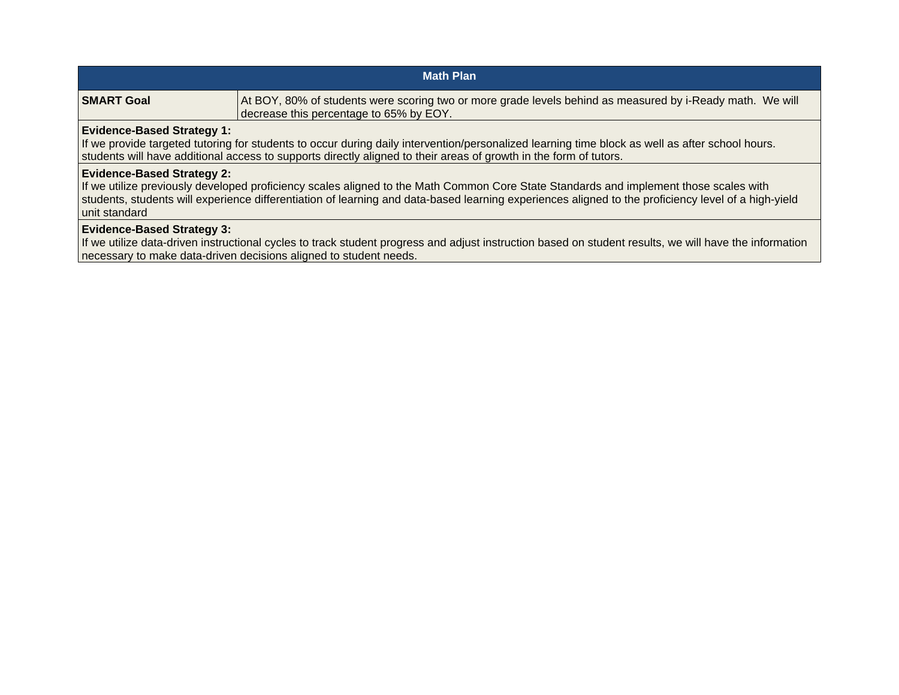| <b>Math Plan</b>                                                                                                                                                                                                                                                                                          |                                                                                                                                                      |  |
|-----------------------------------------------------------------------------------------------------------------------------------------------------------------------------------------------------------------------------------------------------------------------------------------------------------|------------------------------------------------------------------------------------------------------------------------------------------------------|--|
| <b>SMART Goal</b>                                                                                                                                                                                                                                                                                         | At BOY, 80% of students were scoring two or more grade levels behind as measured by i-Ready math. We will<br>decrease this percentage to 65% by EOY. |  |
| <b>Evidence-Based Strategy 1:</b><br>If we provide targeted tutoring for students to occur during daily intervention/personalized learning time block as well as after school hours.<br>students will have additional access to supports directly aligned to their areas of growth in the form of tutors. |                                                                                                                                                      |  |
| <b>Evidence-Based Strategy 2:</b><br>If we utilize previously developed proficiency scales aligned to the Math Common Core State Standards and implement those scales with                                                                                                                                |                                                                                                                                                      |  |

students, students will experience differentiation of learning and data-based learning experiences aligned to the proficiency level of a high-yield unit standard

## **Evidence-Based Strategy 3:**

If we utilize data-driven instructional cycles to track student progress and adjust instruction based on student results, we will have the information necessary to make data-driven decisions aligned to student needs.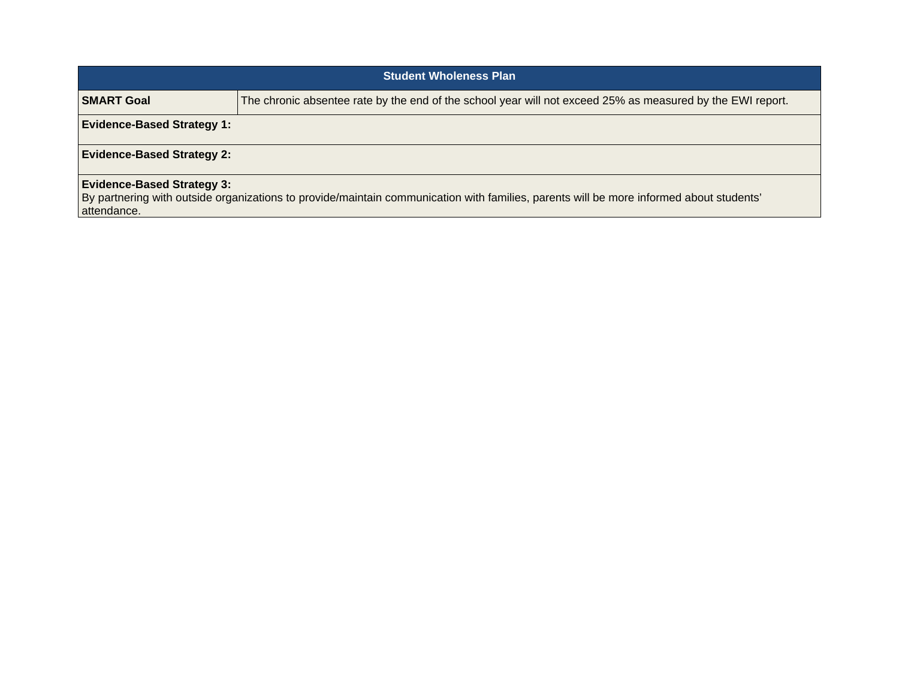| <b>Student Wholeness Plan</b>                                                                                                                                                               |                                                                                                            |  |
|---------------------------------------------------------------------------------------------------------------------------------------------------------------------------------------------|------------------------------------------------------------------------------------------------------------|--|
| <b>SMART Goal</b>                                                                                                                                                                           | The chronic absentee rate by the end of the school year will not exceed 25% as measured by the EWI report. |  |
| <b>Evidence-Based Strategy 1:</b>                                                                                                                                                           |                                                                                                            |  |
| <b>Evidence-Based Strategy 2:</b>                                                                                                                                                           |                                                                                                            |  |
| <b>Evidence-Based Strategy 3:</b><br>By partnering with outside organizations to provide/maintain communication with families, parents will be more informed about students'<br>attendance. |                                                                                                            |  |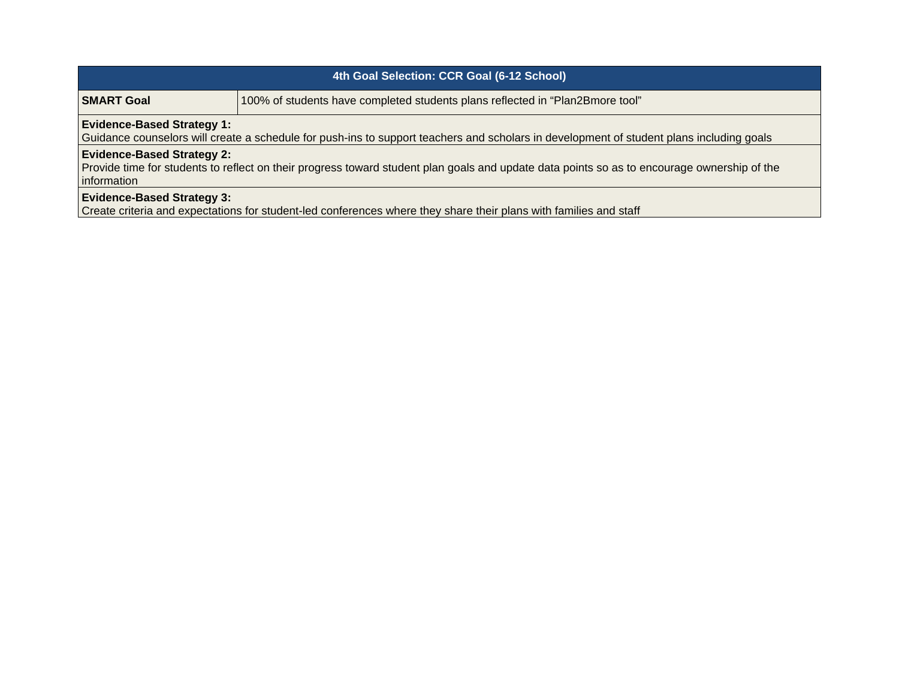| 4th Goal Selection: CCR Goal (6-12 School)                                                                                                                                                               |                                                                               |  |
|----------------------------------------------------------------------------------------------------------------------------------------------------------------------------------------------------------|-------------------------------------------------------------------------------|--|
| <b>SMART Goal</b>                                                                                                                                                                                        | 100% of students have completed students plans reflected in "Plan2Bmore tool" |  |
| <b>Evidence-Based Strategy 1:</b><br>Guidance counselors will create a schedule for push-ins to support teachers and scholars in development of student plans including goals                            |                                                                               |  |
| <b>Evidence-Based Strategy 2:</b><br>Provide time for students to reflect on their progress toward student plan goals and update data points so as to encourage ownership of the<br><i>l</i> information |                                                                               |  |
| <b>Evidence-Based Strategy 3:</b>                                                                                                                                                                        |                                                                               |  |

Create criteria and expectations for student-led conferences where they share their plans with families and staff